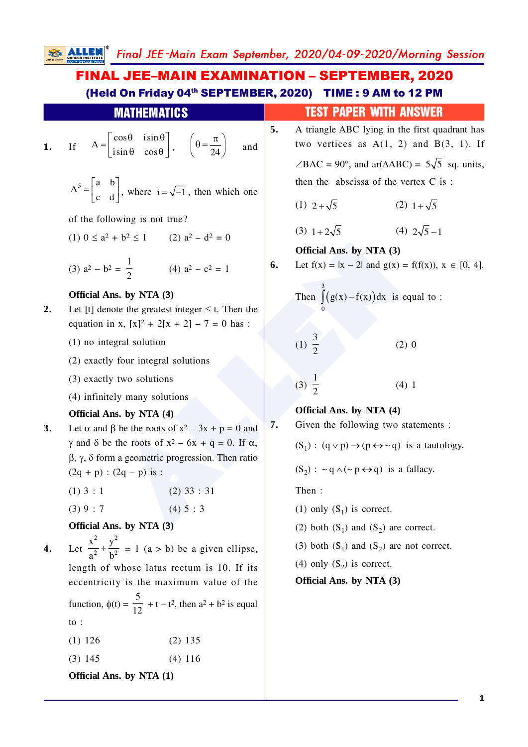Final JEE -Main Exam September, 2020/04-09-2020/Morning Session

FINAL JEE–MAIN EXAMINATION – SEPTEMBER, 2020 (Held On Friday 04<sup>th</sup> SEPTEMBER, 2020) TIME : 9 AM to 12 PM

|    | <b>MATHEMATICS</b>                                                                                                                                 |    | <b>TEST PAPER WITH ANSWER</b>                                                                  |
|----|----------------------------------------------------------------------------------------------------------------------------------------------------|----|------------------------------------------------------------------------------------------------|
| 1. | If $A = \begin{bmatrix} \cos \theta & i \sin \theta \\ i \sin \theta & \cos \theta \end{bmatrix}$ , $\left(\theta = \frac{\pi}{24}\right)$<br>and  | 5. | A triangle ABC lying in the first quadrant has<br>two vertices as $A(1, 2)$ and $B(3, 1)$ . If |
|    |                                                                                                                                                    |    | $\angle BAC = 90^{\circ}$ , and ar( $\triangle ABC$ ) = 5 $\sqrt{5}$ sq. units,                |
|    | $A^5 = \begin{bmatrix} a & b \\ c & d \end{bmatrix}$ , where $i = \sqrt{-1}$ , then which one                                                      |    | then the abscissa of the vertex C is:                                                          |
|    |                                                                                                                                                    |    | (1) $2+\sqrt{5}$<br>(2) $1+\sqrt{5}$                                                           |
|    | of the following is not true?                                                                                                                      |    |                                                                                                |
|    | (1) $0 \le a^2 + b^2 \le 1$ (2) $a^2 - d^2 = 0$                                                                                                    |    | (3) $1+2\sqrt{5}$<br>(4) $2\sqrt{5}-1$                                                         |
|    |                                                                                                                                                    |    | Official Ans. by NTA (3)                                                                       |
|    | (3) $a^2 - b^2 = \frac{1}{2}$<br>(4) $a^2 - c^2 = 1$                                                                                               | 6. | Let $f(x) =  x - 2 $ and $g(x) = f(f(x)), x \in [0, 4].$                                       |
| 2. | Official Ans. by NTA (3)<br>Let [t] denote the greatest integer $\leq$ t. Then the<br>equation in x, $[x]^2 + 2[x + 2] - 7 = 0$ has :              |    | Then $\int (g(x)-f(x))dx$ is equal to:                                                         |
|    | $(1)$ no integral solution                                                                                                                         |    | (1) $\frac{3}{2}$<br>$(2)$ 0                                                                   |
|    | (2) exactly four integral solutions                                                                                                                |    |                                                                                                |
|    | (3) exactly two solutions                                                                                                                          |    | $\frac{1}{(3)} \frac{1}{2}$<br>(4) 1                                                           |
|    | (4) infinitely many solutions                                                                                                                      |    |                                                                                                |
|    | Official Ans. by NTA (4)                                                                                                                           |    | Official Ans. by NTA (4)                                                                       |
| 3. | Let $\alpha$ and $\beta$ be the roots of $x^2 - 3x + p = 0$ and                                                                                    | 7. | Given the following two statements :                                                           |
|    | $\gamma$ and $\delta$ be the roots of $x^2 - 6x + q = 0$ . If $\alpha$ ,<br>$\beta$ , $\gamma$ , $\delta$ form a geometric progression. Then ratio |    | $(S_1) : (q \vee p) \rightarrow (p \leftrightarrow \sim q)$ is a tautology.                    |
|    | $(2q + p)$ : $(2q - p)$ is :                                                                                                                       |    | $(S_2)$ : ~ q $\wedge$ (~ p $\leftrightarrow$ q) is a fallacy.                                 |
|    | $(2)$ 33 : 31<br>$(1)$ 3 : 1                                                                                                                       |    | Then:                                                                                          |
|    | (4) 5 : 3<br>(3) 9 : 7                                                                                                                             |    | (1) only $(S_1)$ is correct.                                                                   |
|    | Official Ans. by NTA (3)                                                                                                                           |    | (2) both $(S_1)$ and $(S_2)$ are correct.                                                      |
|    | Let $\frac{x^2}{a^2} + \frac{y^2}{b^2} = 1$ (a > b) be a given ellipse,                                                                            |    | (3) both $(S_1)$ and $(S_2)$ are not correct.                                                  |
|    | length of whose latus rectum is 10. If its                                                                                                         |    | (4) only $(S_2)$ is correct.                                                                   |
|    | eccentricity is the maximum value of the                                                                                                           |    | Official Ans. by NTA (3)                                                                       |
|    | function, $\phi(t) = \frac{5}{12} + t - t^2$ , then $a^2 + b^2$ is equal                                                                           |    |                                                                                                |
|    | to :                                                                                                                                               |    |                                                                                                |
|    | $(1)$ 126<br>$(2)$ 135                                                                                                                             |    |                                                                                                |

(3) 145 (4) 116

**Official Ans. by NTA (1)**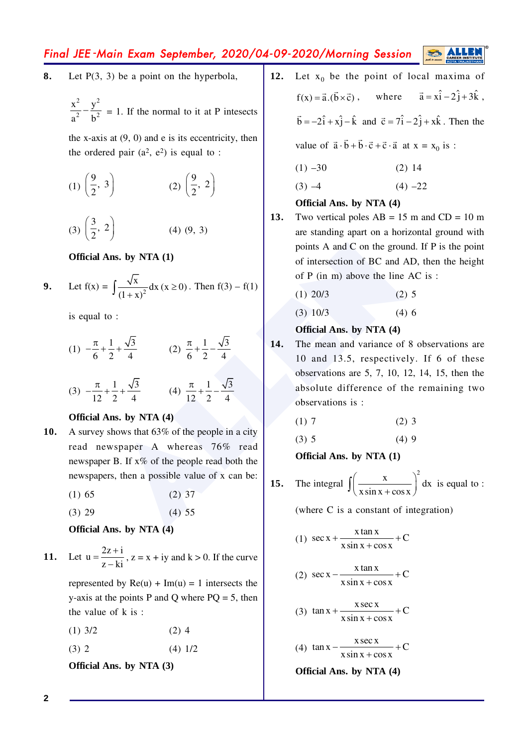## Final JEE -Main Exam September, 2020/04-09-2020/Morning Session

- **8.** Let P(3, 3) be a point on the hyperbola,
	- 2  $\sqrt{2}$ 2  $h^2$  $\frac{x^2}{a^2} - \frac{y^2}{b^2} = 1$ . If the normal to it at P intesects

the x-axis at  $(9, 0)$  and e is its eccentricity, then the ordered pair  $(a^2, e^2)$  is equal to :

(1)  $\frac{9}{2}$ , 3  $\left(\frac{9}{2}, 3\right)$  (2)  $\left(\frac{9}{2}, 2\right)$  $\left(\frac{9}{2}, 2\right)$ (3)  $\frac{3}{2}$ , 2  $\left(\frac{3}{2}, 2\right)$  (4) (9, 3)

#### **Official Ans. by NTA (1)**

9. Let 
$$
f(x) = \int \frac{\sqrt{x}}{(1+x)^2} dx
$$
 ( $x \ge 0$ ). Then  $f(3) - f(1)$ 

is equal to :

(1) 
$$
-\frac{\pi}{6} + \frac{1}{2} + \frac{\sqrt{3}}{4}
$$
  
(2)  $\frac{\pi}{6} + \frac{1}{2} - \frac{\sqrt{3}}{4}$   
(3)  $-\frac{\pi}{12} + \frac{1}{2} + \frac{\sqrt{3}}{4}$   
(4)  $\frac{\pi}{12} + \frac{1}{2} - \frac{\sqrt{3}}{4}$ 

#### **Official Ans. by NTA (4)**

**10.** A survey shows that 63% of the people in a city read newspaper A whereas 76% read newspaper B. If x% of the people read both the newspapers, then a possible value of x can be:

$$
(1) 65 \t(2) 37
$$

 $(3) 29$   $(4) 55$ 

#### **Official Ans. by NTA (4)**

11. Let 
$$
u = \frac{2z + i}{z - ki}
$$
,  $z = x + iy$  and  $k > 0$ . If the curve

represented by  $Re(u) + Im(u) = 1$  intersects the y-axis at the points P and O where  $PO = 5$ , then the value of k is :

- $(1)$  3/2  $(2)$  4
- $(3) 2$  (4)  $1/2$

**Official Ans. by NTA (3)**

- 12. Let  $x_0$  be the point of local maxima of  $f(x) = \vec{a} \cdot (\vec{b} \times \vec{c})$ , where  $\vec{a} = x\hat{i} - 2\hat{j} + 3\hat{k}$ ,  $\vec{b} = -2\hat{i} + x\hat{j} - \hat{k}$  and  $\vec{c} = 7\hat{i} - 2\hat{j} + x\hat{k}$ . Then the value of  $\vec{a} \cdot \vec{b} + \vec{b} \cdot \vec{c} + \vec{c} \cdot \vec{a}$  at  $x = x_0$  is :  $(1)$  –30 (2) 14
	- $(3) -4$  (4) –22

## **Official Ans. by NTA (4)**

13. Two vertical poles  $AB = 15$  m and  $CD = 10$  m are standing apart on a horizontal ground with points A and C on the ground. If P is the point of intersection of BC and AD, then the height of P (in m) above the line AC is :

$$
(1) 20/3 \t(2) 5
$$

 $(3)$  10/3  $(4)$  6

## **Official Ans. by NTA (4)**

**IS. by NTA (1)**<br>  $\frac{1}{2} + \frac{\sqrt{3}}{4}$ <br>  $\frac{1}{2} + \frac{\sqrt{3}}{4}$ <br>  $\frac{1}{2} + \frac{\sqrt{3}}{4}$ <br>  $\frac{1}{2} + \frac{\sqrt{3}}{4}$ <br>  $\frac{1}{2} + \frac{\sqrt{3}}{4}$ <br>  $\frac{1}{2} + \frac{1}{2} + \frac{\sqrt{3}}{4}$ <br>  $\frac{1}{2} + \frac{1}{2} + \frac{\sqrt{3}}{4}$ <br>  $\frac{1}{2} + \frac{1}{2} + \frac{\sqrt{3}}{4}$ <br>  $\frac$ **14.** The mean and variance of 8 observations are 10 and 13.5, respectively. If 6 of these observations are 5, 7, 10, 12, 14, 15, then the absolute difference of the remaining two observations is :

$$
(1) 7 \t(2) 3
$$

$$
(3) 5 \t(4) 9
$$

**Official Ans. by NTA (1)**

**15.** The integral  $\left(\frac{x}{2}\right)^2 dx$  $\int \left( \frac{x}{x \sin x + \cos x} \right)^2 dx$  is equal to :

(where C is a constant of integration)

(1) 
$$
\sec x + \frac{x \tan x}{x \sin x + \cos x} + C
$$

(2) 
$$
\sec x - \frac{x \tan x}{x \sin x + \cos x} + C
$$

$$
(3) \tan x + \frac{x \sec x}{x \sin x + \cos x} + C
$$

$$
(4) \ \tan x - \frac{x \sec x}{x \sin x + \cos x} + C
$$

**Official Ans. by NTA (4)**